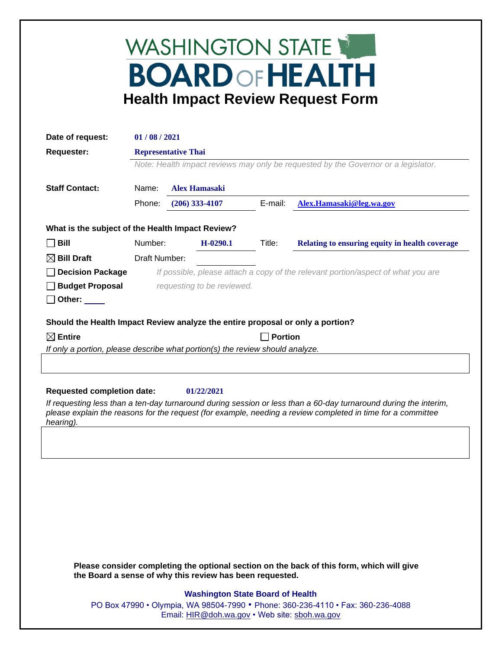## WASHINGTON STATE **BOARD OF HEALTH Health Impact Review Request Form**

| Date of request:                                                               | 01/08/2021                                                                         |                            |         |                                                |  |
|--------------------------------------------------------------------------------|------------------------------------------------------------------------------------|----------------------------|---------|------------------------------------------------|--|
| <b>Requester:</b>                                                              |                                                                                    | <b>Representative Thai</b> |         |                                                |  |
|                                                                                | Note: Health impact reviews may only be requested by the Governor or a legislator. |                            |         |                                                |  |
| <b>Staff Contact:</b>                                                          | Name:<br><b>Alex Hamasaki</b>                                                      |                            |         |                                                |  |
|                                                                                | Phone:                                                                             | $(206)$ 333-4107           | E-mail: | Alex.Hamasaki@leg.wa.gov                       |  |
| What is the subject of the Health Impact Review?                               |                                                                                    |                            |         |                                                |  |
| $\Box$ Bill                                                                    | Number:                                                                            | $H-0290.1$                 | Title:  | Relating to ensuring equity in health coverage |  |
| $\boxtimes$ Bill Draft                                                         | Draft Number:                                                                      |                            |         |                                                |  |
| <b>Decision Package</b>                                                        | If possible, please attach a copy of the relevant portion/aspect of what you are   |                            |         |                                                |  |
| <b>Budget Proposal</b>                                                         | requesting to be reviewed.                                                         |                            |         |                                                |  |
| Other: $\_\_$                                                                  |                                                                                    |                            |         |                                                |  |
| Should the Health Impact Review analyze the entire proposal or only a portion? |                                                                                    |                            |         |                                                |  |
| $\boxtimes$ Entire                                                             |                                                                                    |                            |         | <b>Portion</b>                                 |  |
| If only a portion, please describe what portion(s) the review should analyze.  |                                                                                    |                            |         |                                                |  |
|                                                                                |                                                                                    |                            |         |                                                |  |
|                                                                                |                                                                                    |                            |         |                                                |  |
| <b>Requested completion date:</b>                                              |                                                                                    | 01/22/2021                 |         |                                                |  |

*If requesting less than a ten-day turnaround during session or less than a 60-day turnaround during the interim, please explain the reasons for the request (for example, needing a review completed in time for a committee hearing).*

**Please consider completing the optional section on the back of this form, which will give the Board a sense of why this review has been requested.**

## **Washington State Board of Health**

PO Box 47990 • Olympia, WA 98504-7990 • Phone: 360-236-4110 • Fax: 360-236-4088 Email: [HIR@doh.wa.gov](mailto:HIR@doh.wa.gov) • Web site: [sboh.wa.gov](http://www.sboh.wa.gov/hdcouncil/)